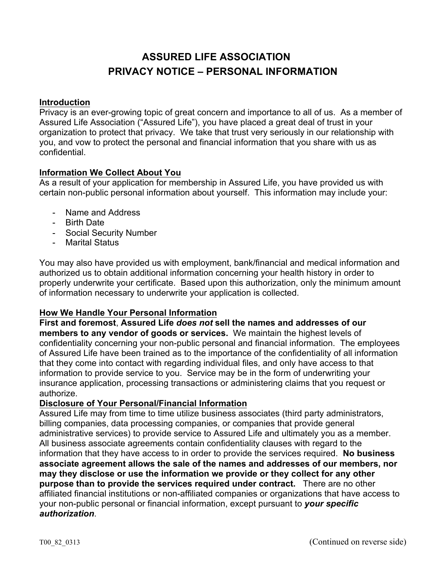# **ASSURED LIFE ASSOCIATION PRIVACY NOTICE – PERSONAL INFORMATION**

#### **Introduction**

Privacy is an ever-growing topic of great concern and importance to all of us. As a member of Assured Life Association ("Assured Life"), you have placed a great deal of trust in your organization to protect that privacy. We take that trust very seriously in our relationship with you, and vow to protect the personal and financial information that you share with us as confidential.

#### **Information We Collect About You**

As a result of your application for membership in Assured Life, you have provided us with certain non-public personal information about yourself. This information may include your:

- Name and Address
- Birth Date
- Social Security Number
- Marital Status

You may also have provided us with employment, bank/financial and medical information and authorized us to obtain additional information concerning your health history in order to properly underwrite your certificate. Based upon this authorization, only the minimum amount of information necessary to underwrite your application is collected.

## **How We Handle Your Personal Information**

**First and foremost**, **Assured Life** *does not* **sell the names and addresses of our members to any vendor of goods or services.** We maintain the highest levels of confidentiality concerning your non-public personal and financial information. The employees of Assured Life have been trained as to the importance of the confidentiality of all information that they come into contact with regarding individual files, and only have access to that information to provide service to you. Service may be in the form of underwriting your insurance application, processing transactions or administering claims that you request or authorize.

#### **Disclosure of Your Personal/Financial Information**

Assured Life may from time to time utilize business associates (third party administrators, billing companies, data processing companies, or companies that provide general administrative services) to provide service to Assured Life and ultimately you as a member. All business associate agreements contain confidentiality clauses with regard to the information that they have access to in order to provide the services required. **No business associate agreement allows the sale of the names and addresses of our members, nor may they disclose or use the information we provide or they collect for any other purpose than to provide the services required under contract.** There are no other affiliated financial institutions or non-affiliated companies or organizations that have access to your non-public personal or financial information, except pursuant to *your specific authorization*.